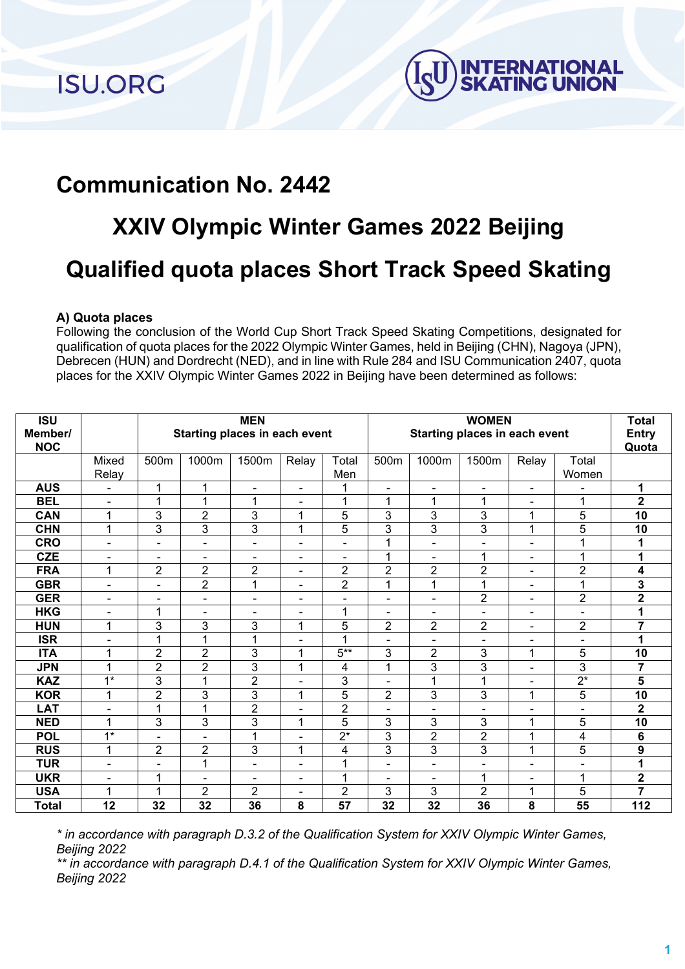**ISU.ORG** 



## **Communication No. 2442**

## **XXIV Olympic Winter Games 2022 Beijing Qualified quota places Short Track Speed Skating**

## **A) Quota places**

Following the conclusion of the World Cup Short Track Speed Skating Competitions, designated for qualification of quota places for the 2022 Olympic Winter Games, held in Beijing (CHN), Nagoya (JPN), Debrecen (HUN) and Dordrecht (NED), and in line with Rule 284 and ISU Communication 2407, quota places for the XXIV Olympic Winter Games 2022 in Beijing have been determined as follows:

| $\overline{\mathsf{ISU}}$ |                  | <b>MEN</b><br>Starting places in each event |                |                          |                |                  | <b>WOMEN</b><br>Starting places in each event |                |                |                          |                          | <b>Total</b>            |
|---------------------------|------------------|---------------------------------------------|----------------|--------------------------|----------------|------------------|-----------------------------------------------|----------------|----------------|--------------------------|--------------------------|-------------------------|
| Member/                   |                  |                                             |                |                          |                |                  |                                               |                |                |                          |                          | <b>Entry</b>            |
| <b>NOC</b>                |                  |                                             |                |                          |                |                  |                                               |                |                |                          |                          | Quota                   |
|                           | Mixed            | 500m                                        | 1000m          | 1500m                    | Relay          | Total            | 500m                                          | 1000m          | 1500m          | Relay                    | Total                    |                         |
|                           | Relay            |                                             |                |                          |                | Men              |                                               |                |                |                          | Women                    |                         |
| <b>AUS</b>                |                  | 1                                           | 1              |                          | $\overline{a}$ | 1                | $\overline{a}$                                |                | $\overline{a}$ | $\overline{\phantom{a}}$ |                          | 1                       |
| <b>BEL</b>                | $\blacksquare$   | 1                                           | 1              | 1                        | $\blacksquare$ | 1                | 1                                             | 1              | 1              | ۰                        | 1                        | $\mathbf{2}$            |
| <b>CAN</b>                | 1                | 3                                           | $\overline{2}$ | 3                        | 1              | 5                | 3                                             | 3              | 3              | 1                        | 5                        | $\overline{10}$         |
| <b>CHN</b>                | 1                | 3                                           | 3              | 3                        | 1              | 5                | 3                                             | 3              | 3              | 1                        | 5                        | 10                      |
| <b>CRO</b>                | $\blacksquare$   | $\blacksquare$                              | $\blacksquare$ | Ē,                       | $\blacksquare$ | $\blacksquare$   | 1                                             | $\blacksquare$ | L.             | $\blacksquare$           | 1                        | 1                       |
| <b>CZE</b>                | $\blacksquare$   | $\blacksquare$                              | ۰              | $\blacksquare$           | ٠              | $\blacksquare$   | $\overline{1}$                                | $\blacksquare$ | $\mathbf{1}$   | ۰                        | 1                        | 1                       |
| <b>FRA</b>                | 1                | $\overline{2}$                              | 2              | $\overline{2}$           | $\blacksquare$ | $\overline{2}$   | $\overline{2}$                                | $\overline{2}$ | $\overline{2}$ | $\blacksquare$           | $\overline{2}$           | 4                       |
| <b>GBR</b>                | $\blacksquare$   | $\overline{\phantom{0}}$                    | $\overline{2}$ | 1                        | $\overline{a}$ | $\overline{2}$   | 1                                             | 1              | 1              | ۰                        | 1                        | 3                       |
| <b>GER</b>                | ۰                | $\blacksquare$                              | ۰              | $\blacksquare$           | ٠              | $\blacksquare$   | $\blacksquare$                                | $\blacksquare$ | 2              | $\blacksquare$           | $\overline{2}$           | $\overline{2}$          |
| <b>HKG</b>                | $\blacksquare$   | 1                                           | $\blacksquare$ | $\overline{\phantom{0}}$ | ٠              | 1                | $\blacksquare$                                | $\blacksquare$ | $\blacksquare$ | $\blacksquare$           | $\overline{\phantom{a}}$ |                         |
| <b>HUN</b>                | 1                | 3                                           | 3              | 3                        | 1              | 5                | $\overline{2}$                                | $\overline{2}$ | $\overline{2}$ | $\blacksquare$           | $\overline{2}$           | $\overline{7}$          |
| <b>ISR</b>                | $\blacksquare$   | 1                                           | 1              | 1                        | $\blacksquare$ | 1                | $\blacksquare$                                | $\blacksquare$ | ä,             | ۰                        | $\blacksquare$           | 1                       |
| <b>ITA</b>                | 1                | $\overline{2}$                              | $\overline{2}$ | 3                        | 1              | $5***$           | 3                                             | $\overline{2}$ | 3              | 1                        | 5                        | 10                      |
| <b>JPN</b>                | 1                | 2                                           | $\overline{2}$ | $\overline{3}$           | 1              | 4                | 1                                             | 3              | 3              | $\blacksquare$           | 3                        | $\overline{7}$          |
| <b>KAZ</b>                | $\overline{1^*}$ | 3                                           | 1              | $\overline{2}$           | $\blacksquare$ | 3                | $\overline{a}$                                | 1              | 1              | $\blacksquare$           | $\overline{2^*}$         | 5                       |
| <b>KOR</b>                | 1                | $\overline{2}$                              | 3              | 3                        | 1              | 5                | $\overline{2}$                                | 3              | 3              | 1                        | 5                        | 10                      |
| <b>LAT</b>                | $\blacksquare$   | 1                                           | 1              | $\overline{2}$           | $\blacksquare$ | $\overline{2}$   | $\blacksquare$                                | $\blacksquare$ |                |                          | $\blacksquare$           | $\overline{\mathbf{2}}$ |
| <b>NED</b>                | 1                | 3                                           | 3              | 3                        | 1              | 5                | 3                                             | 3              | 3              | 1                        | 5                        | 10                      |
| <b>POL</b>                | $1*$             | $\blacksquare$                              | $\blacksquare$ | 1                        | $\blacksquare$ | $\overline{2^*}$ | 3                                             | $\overline{2}$ | $\overline{2}$ | 1                        | 4                        | 6                       |
| <b>RUS</b>                | 1                | 2                                           | $\overline{2}$ | 3                        | 1              | 4                | 3                                             | 3              | 3              | 1                        | 5                        | 9                       |
| <b>TUR</b>                | $\blacksquare$   | $\blacksquare$                              | 1              | $\blacksquare$           | $\blacksquare$ | 1                | $\blacksquare$                                | $\blacksquare$ | $\blacksquare$ | ۰                        | $\blacksquare$           | 1                       |
| <b>UKR</b>                | $\blacksquare$   | 1                                           | $\blacksquare$ | $\blacksquare$           | $\blacksquare$ | 1                | $\blacksquare$                                | $\blacksquare$ | 1              | $\blacksquare$           | 1                        | $\overline{\mathbf{2}}$ |
| <b>USA</b>                | 1                | 1                                           | $\overline{2}$ | $\overline{2}$           | $\blacksquare$ | $\overline{2}$   | 3                                             | 3              | $\overline{2}$ | 1                        | 5                        | $\overline{7}$          |
| <b>Total</b>              | 12               | 32                                          | 32             | 36                       | 8              | 57               | 32                                            | 32             | 36             | 8                        | 55                       | 112                     |

*\* in accordance with paragraph D.3.2 of the Qualification System for XXIV Olympic Winter Games, Beijing 2022*

*\*\* in accordance with paragraph D.4.1 of the Qualification System for XXIV Olympic Winter Games, Beijing 2022*